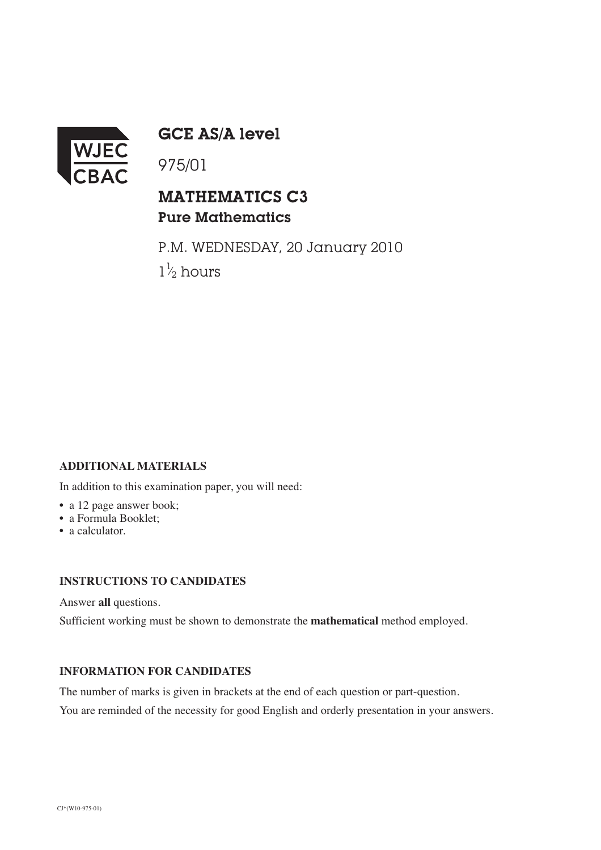

GCE AS/A level

# MATHEMATICS C3 Pure Mathematics

P.M. WEDNESDAY, 20 January 2010  $1\frac{1}{2}$  hours ⁄

## **ADDITIONAL MATERIALS**

In addition to this examination paper, you will need:

- a 12 page answer book;
- a Formula Booklet;
- a calculator.

## **INSTRUCTIONS TO CANDIDATES**

Answer **all** questions.

Sufficient working must be shown to demonstrate the **mathematical** method employed.

#### **INFORMATION FOR CANDIDATES**

The number of marks is given in brackets at the end of each question or part-question.

You are reminded of the necessity for good English and orderly presentation in your answers.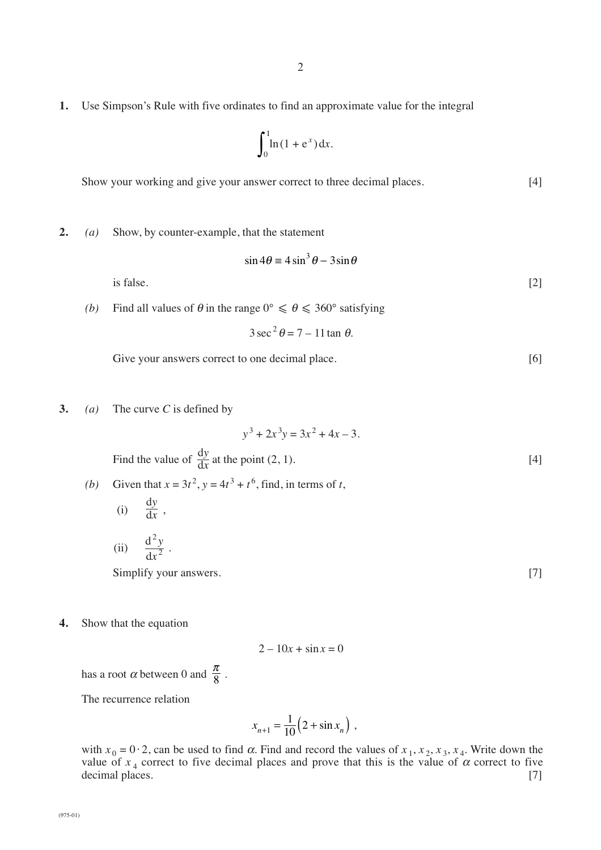**1.** Use Simpson's Rule with five ordinates to find an approximate value for the integral

$$
\int_0^1 \ln(1+e^x) \, \mathrm{d}x.
$$

Show your working and give your answer correct to three decimal places. [4]

**2.** *(a)* Show, by counter-example, that the statement

$$
\sin 4\theta \equiv 4\sin^3 \theta - 3\sin \theta
$$

is false.  $[2]$ 

*(b)* Find all values of  $\theta$  in the range  $0^{\circ} \le \theta \le 360^{\circ}$  satisfying

 $3 \sec^2 \theta = 7 - 11 \tan \theta$ .

- Give your answers correct to one decimal place. [6]
- **3.** *(a)* The curve *C* is defined by

$$
y3 + 2x3y = 3x2 + 4x - 3.
$$
  
Find the value of  $\frac{dy}{dx}$  at the point (2, 1). [4]

(b) Given that 
$$
x = 3t^2
$$
,  $y = 4t^3 + t^6$ , find, in terms of t,  
(i)  $\frac{dy}{dt}$ .

$$
\frac{1}{2} \int \frac{dx}{x^2 + y^2} dx
$$

(ii) 
$$
\frac{d^2y}{dx^2}.
$$

Simplify your answers. [7]

**4.** Show that the equation

$$
2 - 10x + \sin x = 0
$$

has a root  $\alpha$  between 0 and  $\frac{\pi}{8}$ . 8

The recurrence relation

$$
x_{n+1} = \frac{1}{10} \left( 2 + \sin x_n \right) ,
$$

with  $x_0 = 0.2$ , can be used to find  $\alpha$ . Find and record the values of  $x_1, x_2, x_3, x_4$ . Write down the value of  $x_4$  correct to five decimal places and prove that this is the value of  $\alpha$  correct to five decimal places. [7]